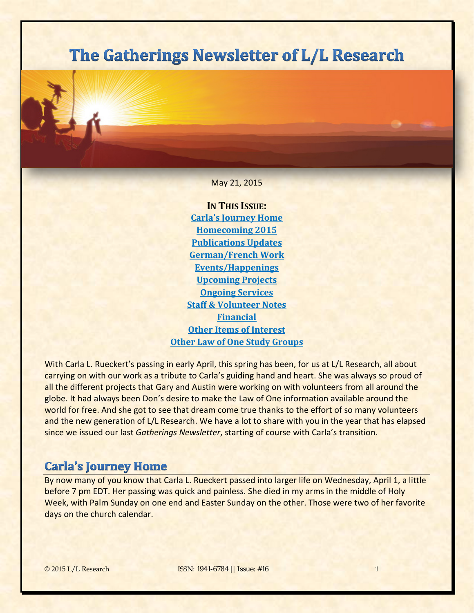# The Gatherings Newsletter of L/L Research

May 21, 2015

**IN THIS ISSUE: [Carla's Journey Home](#page-0-0) [Homecoming 2015](#page-1-0) [Publications Updates](#page-2-0) [German/French Work](#page-4-0) [Events/Happenings](#page-4-1) [Upcoming Projects](#page-7-0) [Ongoing Services](#page-9-0) [Staff & Volunteer Notes](#page-10-0) [Financial](#page-11-0) [Other Items of Interest](#page-12-0) [Other Law of One Study Groups](#page-13-0)**

With Carla L. Rueckert's passing in early April, this spring has been, for us at L/L Research, all about carrying on with our work as a tribute to Carla's guiding hand and heart. She was always so proud of all the different projects that Gary and Austin were working on with volunteers from all around the globe. It had always been Don's desire to make the Law of One information available around the world for free. And she got to see that dream come true thanks to the effort of so many volunteers and the new generation of L/L Research. We have a lot to share with you in the year that has elapsed since we issued our last *Gatherings Newsletter*, starting of course with Carla's transition.

# <span id="page-0-0"></span>**Carla's Journey Home**

By now many of you know that Carla L. Rueckert passed into larger life on Wednesday, April 1, a little before 7 pm EDT. Her passing was quick and painless. She died in my arms in the middle of Holy Week, with Palm Sunday on one end and Easter Sunday on the other. Those were two of her favorite days on the church calendar.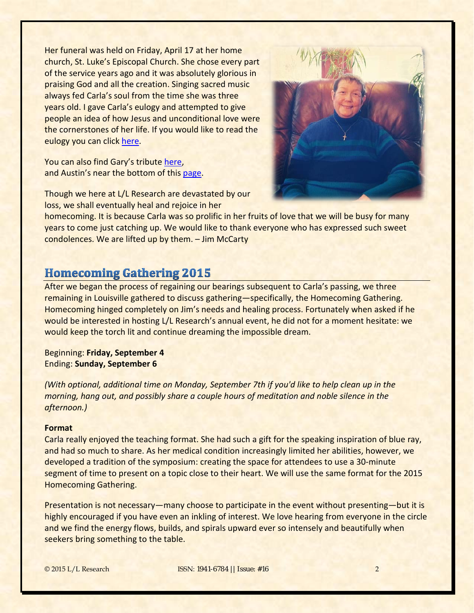Her funeral was held on Friday, April 17 at her home church, St. Luke's Episcopal Church. She chose every part of the service years ago and it was absolutely glorious in praising God and all the creation. Singing sacred music always fed Carla's soul from the time she was three years old. I gave Carla's eulogy and attempted to give people an idea of how Jesus and unconditional love were the cornerstones of her life. If you would like to read the eulogy you can click [here.](http://www.bring4th.org/news/index.php?newsid=143)

You can also find Gary's tribute [here,](http://www.bring4th.org/members.php?uid=45&catid=all) and Austin's near the bottom of this [page.](http://www.bring4th.org/archive.php?uid=214&catid=all&m=4&d=15&y=2015)

Though we here at L/L Research are devastated by our loss, we shall eventually heal and rejoice in her



homecoming. It is because Carla was so prolific in her fruits of love that we will be busy for many years to come just catching up. We would like to thank everyone who has expressed such sweet condolences. We are lifted up by them. – Jim McCarty

# <span id="page-1-0"></span>**Homecoming Gathering 2015**

After we began the process of regaining our bearings subsequent to Carla's passing, we three remaining in Louisville gathered to discuss gathering—specifically, the Homecoming Gathering. Homecoming hinged completely on Jim's needs and healing process. Fortunately when asked if he would be interested in hosting L/L Research's annual event, he did not for a moment hesitate: we would keep the torch lit and continue dreaming the impossible dream.

Beginning: **Friday, September 4** Ending: **Sunday, September 6**

*(With optional, additional time on Monday, September 7th if you'd like to help clean up in the morning, hang out, and possibly share a couple hours of meditation and noble silence in the afternoon.)*

### **Format**

Carla really enjoyed the teaching format. She had such a gift for the speaking inspiration of blue ray, and had so much to share. As her medical condition increasingly limited her abilities, however, we developed a tradition of the symposium: creating the space for attendees to use a 30-minute segment of time to present on a topic close to their heart. We will use the same format for the 2015 Homecoming Gathering.

Presentation is not necessary—many choose to participate in the event without presenting—but it is highly encouraged if you have even an inkling of interest. We love hearing from everyone in the circle and we find the energy flows, builds, and spirals upward ever so intensely and beautifully when seekers bring something to the table.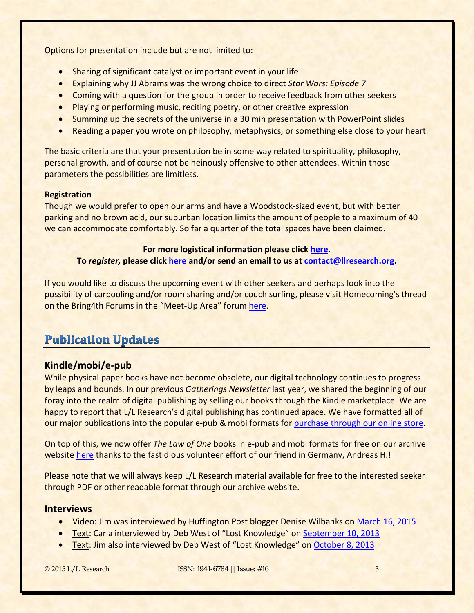Options for presentation include but are not limited to:

- Sharing of significant catalyst or important event in your life
- Explaining why JJ Abrams was the wrong choice to direct *Star Wars: Episode 7*
- Coming with a question for the group in order to receive feedback from other seekers
- Playing or performing music, reciting poetry, or other creative expression
- Summing up the secrets of the universe in a 30 min presentation with PowerPoint slides
- Reading a paper you wrote on philosophy, metaphysics, or something else close to your heart.

The basic criteria are that your presentation be in some way related to spirituality, philosophy, personal growth, and of course not be heinously offensive to other attendees. Within those parameters the possibilities are limitless.

### **Registration**

Though we would prefer to open our arms and have a Woodstock-sized event, but with better parking and no brown acid, our suburban location limits the amount of people to a maximum of 40 we can accommodate comfortably. So far a quarter of the total spaces have been claimed.

### **For more logistical information please click [here.](http://www.bring4th.org/news/index.php?newsid=148)**

### **To** *register,* **please click [here](mailto:here) and/or send an email to us at [contact@llresearch.org.](mailto:contact@llresearch.org)**

If you would like to discuss the upcoming event with other seekers and perhaps look into the possibility of carpooling and/or room sharing and/or couch surfing, please visit Homecoming's thread on the Bring4th Forums in the "Meet-Up Area" forum [here.](http://bring4th.org/forums/showthread.php?tid=10908)

# <span id="page-2-0"></span>**Publication Updates**

# **Kindle/mobi/e-pub**

While physical paper books have not become obsolete, our digital technology continues to progress by leaps and bounds. In our previous *Gatherings Newsletter* last year, we shared the beginning of our foray into the realm of digital publishing by selling our books through the Kindle marketplace. We are happy to report that L/L Research's digital publishing has continued apace. We have formatted all of our major publications into the popular e-pub & mobi formats for [purchase through our online store.](http://store.bring4th.org/index.php?cPath=29)

On top of this, we now offer *The Law of One* books in e-pub and mobi formats for free on our archive website [here](http://llresearch.org/library/the_law_of_one_ebook/the_law_of_one_ebook.aspx) thanks to the fastidious volunteer effort of our friend in Germany, Andreas H.!

Please note that we will always keep L/L Research material available for free to the interested seeker through PDF or other readable format through our archive website.

### **Interviews**

- Video: Jim was interviewed by Huffington Post blogger Denise Wilbanks on [March 16, 2015](https://www.youtube.com/watch?v=JNoBtlRUvTE)
- Text: Carla interviewed by Deb West of "Lost Knowledge" on [September 10, 2013](http://llresearch.org/interviews/interview_2013_0910.aspx)
- Text: Jim also interviewed by Deb West of "Lost Knowledge" on [October 8, 2013](http://llresearch.org/interviews/interview_2013_1008.aspx)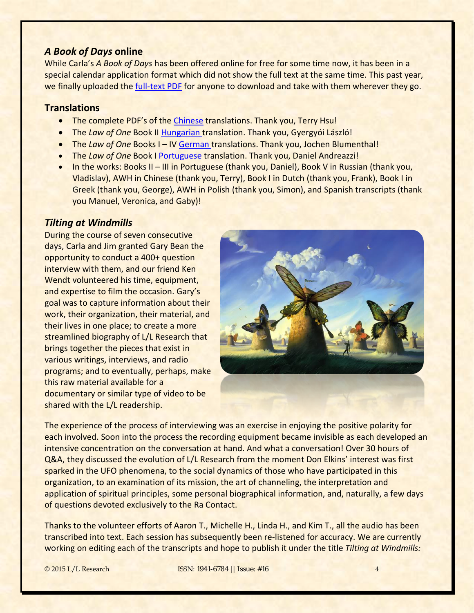### *A Book of Days* **online**

While Carla's *A Book of Days* has been offered online for free for some time now, it has been in a special calendar application format which did not show the full text at the same time. This past year, we finally uploaded th[e full-text PDF](http://llresearch.org/library/a_book_of_days_pdf/a_book_of_days.aspx) for anyone to download and take with them wherever they go.

# **Translations**

- The complete PDF's of the [Chinese](http://llresearch.org/library/the_law_of_one_chinese/chinese_translation.aspx) translations. Thank you, Terry Hsu!
- The *Law of One* Book II [Hungarian](http://llresearch.org/library/the_law_of_one_hungarian/hungarian_translation.aspx) translation. Thank you, Gyergyói László!
- The *Law of One* Books I IV [German](http://llresearch.org/library/the_law_of_one_german/index.aspx) translations. Thank you, Jochen Blumenthal!
- The *Law of One* Book I [Portuguese](http://llresearch.org/library/the_law_of_one_portuguese/index.aspx) translation. Thank you, Daniel Andreazzi!
- In the works: Books II III in Portuguese (thank you, Daniel), Book V in Russian (thank you, Vladislav), AWH in Chinese (thank you, Terry), Book I in Dutch (thank you, Frank), Book I in Greek (thank you, George), AWH in Polish (thank you, Simon), and Spanish transcripts (thank you Manuel, Veronica, and Gaby)!

### *Tilting at Windmills*

During the course of seven consecutive days, Carla and Jim granted Gary Bean the opportunity to conduct a 400+ question interview with them, and our friend Ken Wendt volunteered his time, equipment, and expertise to film the occasion. Gary's goal was to capture information about their work, their organization, their material, and their lives in one place; to create a more streamlined biography of L/L Research that brings together the pieces that exist in various writings, interviews, and radio programs; and to eventually, perhaps, make this raw material available for a documentary or similar type of video to be shared with the L/L readership.



The experience of the process of interviewing was an exercise in enjoying the positive polarity for each involved. Soon into the process the recording equipment became invisible as each developed an intensive concentration on the conversation at hand. And what a conversation! Over 30 hours of Q&A, they discussed the evolution of L/L Research from the moment Don Elkins' interest was first sparked in the UFO phenomena, to the social dynamics of those who have participated in this organization, to an examination of its mission, the art of channeling, the interpretation and application of spiritual principles, some personal biographical information, and, naturally, a few days of questions devoted exclusively to the Ra Contact.

Thanks to the volunteer efforts of Aaron T., Michelle H., Linda H., and Kim T., all the audio has been transcribed into text. Each session has subsequently been re-listened for accuracy. We are currently working on editing each of the transcripts and hope to publish it under the title *Tilting at Windmills:*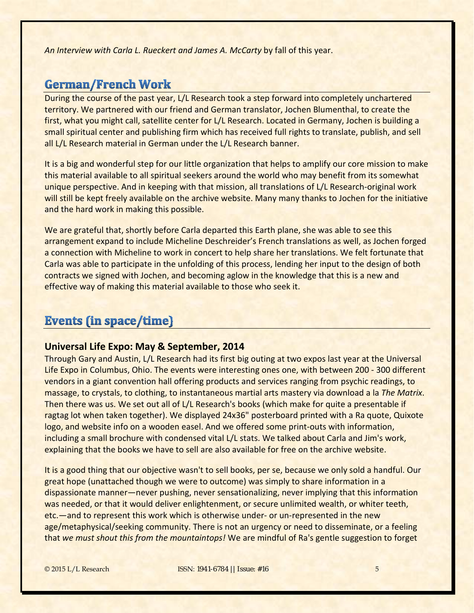*An Interview with Carla L. Rueckert and James A. McCarty* by fall of this year.

# <span id="page-4-0"></span>**German/French Work**

During the course of the past year, L/L Research took a step forward into completely unchartered territory. We partnered with our friend and German translator, Jochen Blumenthal, to create the first, what you might call, satellite center for L/L Research. Located in Germany, Jochen is building a small spiritual center and publishing firm which has received full rights to translate, publish, and sell all L/L Research material in German under the L/L Research banner.

It is a big and wonderful step for our little organization that helps to amplify our core mission to make this material available to all spiritual seekers around the world who may benefit from its somewhat unique perspective. And in keeping with that mission, all translations of L/L Research-original work will still be kept freely available on the archive website. Many many thanks to Jochen for the initiative and the hard work in making this possible.

We are grateful that, shortly before Carla departed this Earth plane, she was able to see this arrangement expand to include Micheline Deschreider's French translations as well, as Jochen forged a connection with Micheline to work in concert to help share her translations. We felt fortunate that Carla was able to participate in the unfolding of this process, lending her input to the design of both contracts we signed with Jochen, and becoming aglow in the knowledge that this is a new and effective way of making this material available to those who seek it.

# <span id="page-4-1"></span>**Events (in space/time)**

### **Universal Life Expo: May & September, 2014**

Through Gary and Austin, L/L Research had its first big outing at two expos last year at the Universal Life Expo in Columbus, Ohio. The events were interesting ones one, with between 200 - 300 different vendors in a giant convention hall offering products and services ranging from psychic readings, to massage, to crystals, to clothing, to instantaneous martial arts mastery via download a la *The Matrix*. Then there was us. We set out all of L/L Research's books (which make for quite a presentable if ragtag lot when taken together). We displayed 24x36" posterboard printed with a Ra quote, Quixote logo, and website info on a wooden easel. And we offered some print-outs with information, including a small brochure with condensed vital L/L stats. We talked about Carla and Jim's work, explaining that the books we have to sell are also available for free on the archive website.

It is a good thing that our objective wasn't to sell books, per se, because we only sold a handful. Our great hope (unattached though we were to outcome) was simply to share information in a dispassionate manner—never pushing, never sensationalizing, never implying that this information was needed, or that it would deliver enlightenment, or secure unlimited wealth, or whiter teeth, etc.—and to represent this work which is otherwise under- or un-represented in the new age/metaphysical/seeking community. There is not an urgency or need to disseminate, or a feeling that *we must shout this from the mountaintops!* We are mindful of Ra's gentle suggestion to forget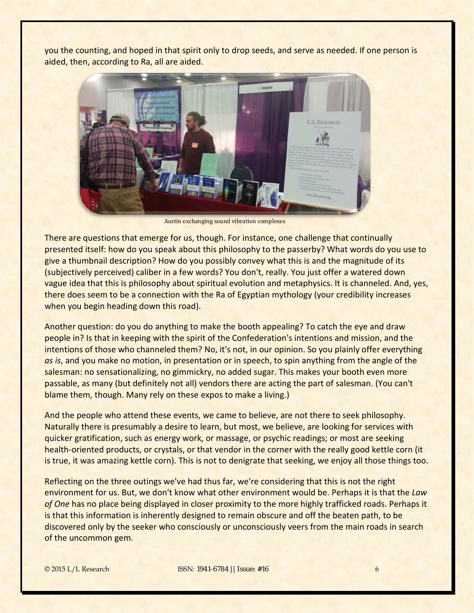you the counting, and hoped in that spirit only to drop seeds, and serve as needed. If one person is aided, then, according to Ra, all are aided.



Austin exchanging sound vibration complexes

There are questions that emerge for us, though. For instance, one challenge that continually presented itself: how do you speak about this philosophy to the passerby? What words do you use to give a thumbnail description? How do you possibly convey what this is and the magnitude of its (subjectively perceived) caliber in a few words? You don't, really. You just offer a watered down vague idea that this is philosophy about spiritual evolution and metaphysics. It is channeled. And, yes, there does seem to be a connection with the Ra of Egyptian mythology (your credibility increases when you begin heading down this road).

Another question: do you do anything to make the booth appealing? To catch the eye and draw people in? Is that in keeping with the spirit of the Confederation's intentions and mission, and the intentions of those who channeled them? No, it's not, in our opinion. So you plainly offer everything *as is*, and you make no motion, in presentation or in speech, to spin anything from the angle of the salesman: no sensationalizing, no gimmickry, no added sugar. This makes your booth even more passable, as many (but definitely not all) vendors there are acting the part of salesman. (You can't blame them, though. Many rely on these expos to make a living.)

And the people who attend these events, we came to believe, are not there to seek philosophy. Naturally there is presumably a desire to learn, but most, we believe, are looking for services with quicker gratification, such as energy work, or massage, or psychic readings; or most are seeking health-oriented products, or crystals, or that vendor in the corner with the really good kettle corn (it is true, it was amazing kettle corn). This is not to denigrate that seeking, we enjoy all those things too.

Reflecting on the three outings we've had thus far, we're considering that this is not the right environment for us. But, we don't know what other environment would be. Perhaps it is that the *Law of One* has no place being displayed in closer proximity to the more highly trafficked roads. Perhaps it is that this information is inherently designed to remain obscure and off the beaten path, to be discovered only by the seeker who consciously or unconsciously veers from the main roads in search of the uncommon gem.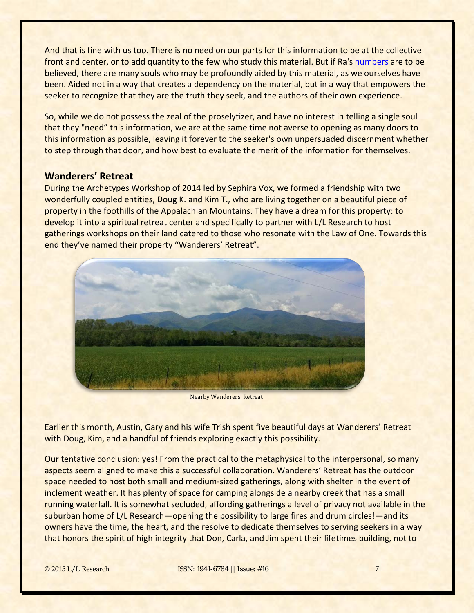And that is fine with us too. There is no need on our parts for this information to be at the collective front and center, or to add quantity to the few who study this material. But if Ra's [numbers](http://www.lawofone.info/results.php?q=36.24) are to be believed, there are many souls who may be profoundly aided by this material, as we ourselves have been. Aided not in a way that creates a dependency on the material, but in a way that empowers the seeker to recognize that they are the truth they seek, and the authors of their own experience.

So, while we do not possess the zeal of the proselytizer, and have no interest in telling a single soul that they "need" this information, we are at the same time not averse to opening as many doors to this information as possible, leaving it forever to the seeker's own unpersuaded discernment whether to step through that door, and how best to evaluate the merit of the information for themselves.

## **Wanderers' Retreat**

During the Archetypes Workshop of 2014 led by Sephira Vox, we formed a friendship with two wonderfully coupled entities, Doug K. and Kim T., who are living together on a beautiful piece of property in the foothills of the Appalachian Mountains. They have a dream for this property: to develop it into a spiritual retreat center and specifically to partner with L/L Research to host gatherings workshops on their land catered to those who resonate with the Law of One. Towards this end they've named their property "Wanderers' Retreat".



Nearby Wanderers' Retreat

Earlier this month, Austin, Gary and his wife Trish spent five beautiful days at Wanderers' Retreat with Doug, Kim, and a handful of friends exploring exactly this possibility.

Our tentative conclusion: yes! From the practical to the metaphysical to the interpersonal, so many aspects seem aligned to make this a successful collaboration. Wanderers' Retreat has the outdoor space needed to host both small and medium-sized gatherings, along with shelter in the event of inclement weather. It has plenty of space for camping alongside a nearby creek that has a small running waterfall. It is somewhat secluded, affording gatherings a level of privacy not available in the suburban home of L/L Research—opening the possibility to large fires and drum circles!—and its owners have the time, the heart, and the resolve to dedicate themselves to serving seekers in a way that honors the spirit of high integrity that Don, Carla, and Jim spent their lifetimes building, not to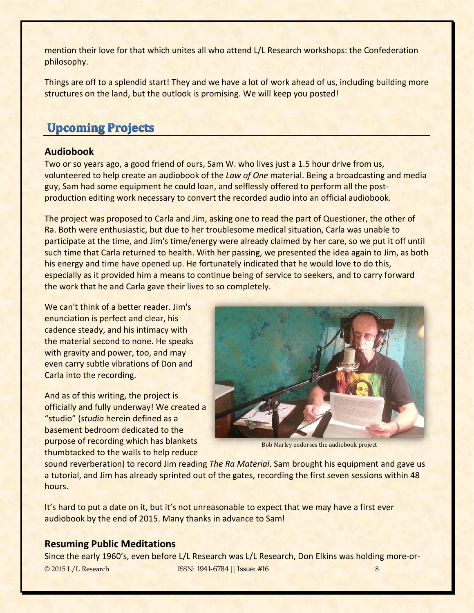mention their love for that which unites all who attend L/L Research workshops: the Confederation philosophy.

Things are off to a splendid start! They and we have a lot of work ahead of us, including building more structures on the land, but the outlook is promising. We will keep you posted!

# <span id="page-7-0"></span>**Upcoming Projects**

# **Audiobook**

Two or so years ago, a good friend of ours, Sam W. who lives just a 1.5 hour drive from us, volunteered to help create an audiobook of the *Law of One* material. Being a broadcasting and media guy, Sam had some equipment he could loan, and selflessly offered to perform all the postproduction editing work necessary to convert the recorded audio into an official audiobook.

The project was proposed to Carla and Jim, asking one to read the part of Questioner, the other of Ra. Both were enthusiastic, but due to her troublesome medical situation, Carla was unable to participate at the time, and Jim's time/energy were already claimed by her care, so we put it off until such time that Carla returned to health. With her passing, we presented the idea again to Jim, as both his energy and time have opened up. He fortunately indicated that he would love to do this, especially as it provided him a means to continue being of service to seekers, and to carry forward the work that he and Carla gave their lives to so completely.

We can't think of a better reader. Jim's enunciation is perfect and clear, his cadence steady, and his intimacy with the material second to none. He speaks with gravity and power, too, and may even carry subtle vibrations of Don and Carla into the recording.

And as of this writing, the project is officially and fully underway! We created a "studio" (*studio* herein defined as a basement bedroom dedicated to the purpose of recording which has blankets thumbtacked to the walls to help reduce



Bob Marley endorses the audiobook project

sound reverberation) to record Jim reading *The Ra Material*. Sam brought his equipment and gave us a tutorial, and Jim has already sprinted out of the gates, recording the first seven sessions within 48 hours.

It's hard to put a date on it, but it's not unreasonable to expect that we may have a first ever audiobook by the end of 2015. Many thanks in advance to Sam!

### **Resuming Public Meditations**

Since the early 1960's, even before L/L Research was L/L Research, Don Elkins was holding more-or-© 2015 L/L Research ISSN: 1941-6784 || Issue: #16 8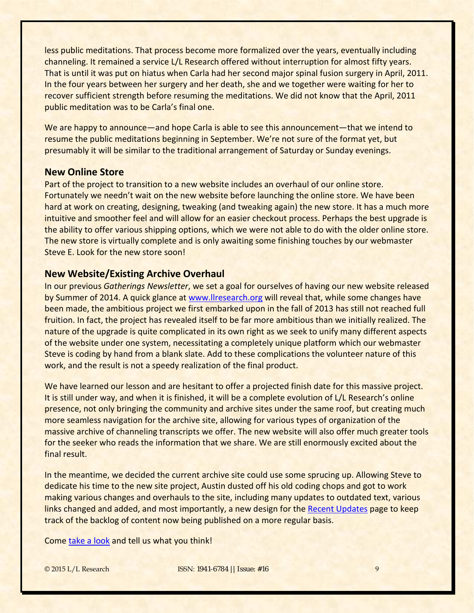less public meditations. That process become more formalized over the years, eventually including channeling. It remained a service L/L Research offered without interruption for almost fifty years. That is until it was put on hiatus when Carla had her second major spinal fusion surgery in April, 2011. In the four years between her surgery and her death, she and we together were waiting for her to recover sufficient strength before resuming the meditations. We did not know that the April, 2011 public meditation was to be Carla's final one.

We are happy to announce—and hope Carla is able to see this announcement—that we intend to resume the public meditations beginning in September. We're not sure of the format yet, but presumably it will be similar to the traditional arrangement of Saturday or Sunday evenings.

### **New Online Store**

Part of the project to transition to a new website includes an overhaul of our online store. Fortunately we needn't wait on the new website before launching the online store. We have been hard at work on creating, designing, tweaking (and tweaking again) the new store. It has a much more intuitive and smoother feel and will allow for an easier checkout process. Perhaps the best upgrade is the ability to offer various shipping options, which we were not able to do with the older online store. The new store is virtually complete and is only awaiting some finishing touches by our webmaster Steve E. Look for the new store soon!

### **New Website/Existing Archive Overhaul**

In our previous *Gatherings Newsletter*, we set a goal for ourselves of having our new website released by Summer of 2014. A quick glance at [www.llresearch.org](http://www.llresearch.org/) will reveal that, while some changes have been made, the ambitious project we first embarked upon in the fall of 2013 has still not reached full fruition. In fact, the project has revealed itself to be far more ambitious than we initially realized. The nature of the upgrade is quite complicated in its own right as we seek to unify many different aspects of the website under one system, necessitating a completely unique platform which our webmaster Steve is coding by hand from a blank slate. Add to these complications the volunteer nature of this work, and the result is not a speedy realization of the final product.

We have learned our lesson and are hesitant to offer a projected finish date for this massive project. It is still under way, and when it is finished, it will be a complete evolution of L/L Research's online presence, not only bringing the community and archive sites under the same roof, but creating much more seamless navigation for the archive site, allowing for various types of organization of the massive archive of channeling transcripts we offer. The new website will also offer much greater tools for the seeker who reads the information that we share. We are still enormously excited about the final result.

In the meantime, we decided the current archive site could use some sprucing up. Allowing Steve to dedicate his time to the new site project, Austin dusted off his old coding chops and got to work making various changes and overhauls to the site, including many updates to outdated text, various links changed and added, and most importantly, a new design for th[e Recent Updates](http://llresearch.org/recent_updates/recent_updates.aspx) page to keep track of the backlog of content now being published on a more regular basis.

Come [take a look](http://llresearch.org/) and tell us what you think!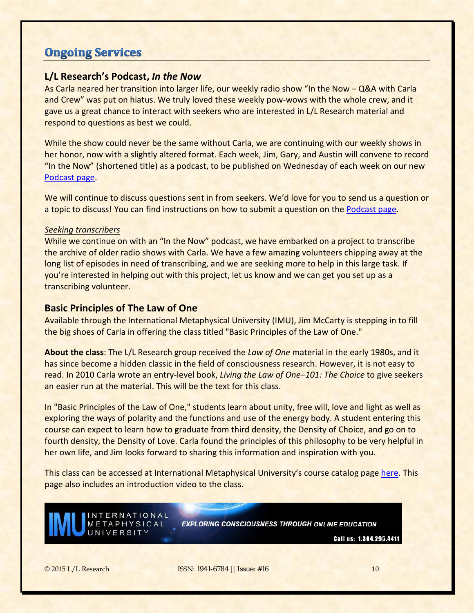# <span id="page-9-0"></span>**Ongoing Services**

# **L/L Research's Podcast,** *In the Now*

As Carla neared her transition into larger life, our weekly radio show "In the Now – Q&A with Carla and Crew" was put on hiatus. We truly loved these weekly pow-wows with the whole crew, and it gave us a great chance to interact with seekers who are interested in L/L Research material and respond to questions as best we could.

While the show could never be the same without Carla, we are continuing with our weekly shows in her honor, now with a slightly altered format. Each week, Jim, Gary, and Austin will convene to record "In the Now" (shortened title) as a podcast, to be published on Wednesday of each week on our new [Podcast page.](http://llresearch.org/podcast/default.aspx)

We will continue to discuss questions sent in from seekers. We'd love for you to send us a question or a topic to discuss! You can find instructions on how to submit a question on the [Podcast page.](http://llresearch.org/podcast/default.aspx)

#### *Seeking transcribers*

While we continue on with an "In the Now" podcast, we have embarked on a project to transcribe the archive of older radio shows with Carla. We have a few amazing volunteers chipping away at the long list of episodes in need of transcribing, and we are seeking more to help in this large task. If you're interested in helping out with this project, let us know and we can get you set up as a transcribing volunteer.

### **Basic Principles of The Law of One**

Available through the International Metaphysical University (IMU), Jim McCarty is stepping in to fill the big shoes of Carla in offering the class titled "Basic Principles of the Law of One."

**About the class**: The L/L Research group received the *Law of One* material in the early 1980s, and it has since become a hidden classic in the field of consciousness research. However, it is not easy to read. In 2010 Carla wrote an entry-level book, *Living the Law of One–101: The Choice* to give seekers an easier run at the material. This will be the text for this class.

In "Basic Principles of the Law of One," students learn about unity, free will, love and light as well as exploring the ways of polarity and the functions and use of the energy body. A student entering this course can expect to learn how to graduate from third density, the Density of Choice, and go on to fourth density, the Density of Love. Carla found the principles of this philosophy to be very helpful in her own life, and Jim looks forward to sharing this information and inspiration with you.

This class can be accessed at International Metaphysical University's course catalog page [here.](http://intermetu.com/con-604-law-of-one) This page also includes an introduction video to the class.



**EXPLORING CONSCIOUSNESS THROUGH ONLINE EDUCATION** 

Call us: 1.304.295.4411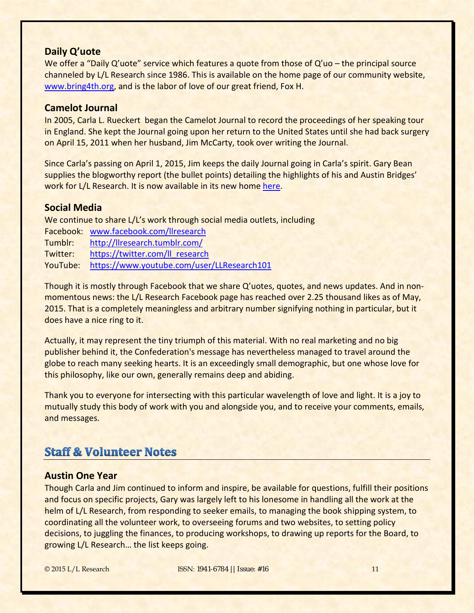### **Daily Q'uote**

We offer a "Daily Q'uote" service which features a quote from those of Q'uo - the principal source channeled by L/L Research since 1986. This is available on the home page of our community website, [www.bring4th.org,](http://www.bring4th.org/) and is the labor of love of our great friend, Fox H.

### **Camelot Journal**

In 2005, Carla L. Rueckert began the Camelot Journal to record the proceedings of her speaking tour in England. She kept the Journal going upon her return to the United States until she had back surgery on April 15, 2011 when her husband, Jim McCarty, took over writing the Journal.

Since Carla's passing on April 1, 2015, Jim keeps the daily Journal going in Carla's spirit. Gary Bean supplies the blogworthy report (the bullet points) detailing the highlights of his and Austin Bridges' work for L/L Research. It is now available in its new home [here.](http://www.bring4th.org/members.php?uid=214&catid=0)

### **Social Media**

We continue to share L/L's work through social media outlets, including

- Facebook: [www.facebook.com/llresearch](http://www.facebook.com/llresearch)
- Tumblr: <http://llresearch.tumblr.com/>
- Twitter: [https://twitter.com/ll\\_research](https://twitter.com/ll_research)
- YouTube: <https://www.youtube.com/user/LLResearch101>

Though it is mostly through Facebook that we share Q'uotes, quotes, and news updates. And in nonmomentous news: the L/L Research Facebook page has reached over 2.25 thousand likes as of May, 2015. That is a completely meaningless and arbitrary number signifying nothing in particular, but it does have a nice ring to it.

Actually, it may represent the tiny triumph of this material. With no real marketing and no big publisher behind it, the Confederation's message has nevertheless managed to travel around the globe to reach many seeking hearts. It is an exceedingly small demographic, but one whose love for this philosophy, like our own, generally remains deep and abiding.

Thank you to everyone for intersecting with this particular wavelength of love and light. It is a joy to mutually study this body of work with you and alongside you, and to receive your comments, emails, and messages.

# <span id="page-10-0"></span>**Staff & Volunteer Notes**

#### **Austin One Year**

Though Carla and Jim continued to inform and inspire, be available for questions, fulfill their positions and focus on specific projects, Gary was largely left to his lonesome in handling all the work at the helm of L/L Research, from responding to seeker emails, to managing the book shipping system, to coordinating all the volunteer work, to overseeing forums and two websites, to setting policy decisions, to juggling the finances, to producing workshops, to drawing up reports for the Board, to growing L/L Research… the list keeps going.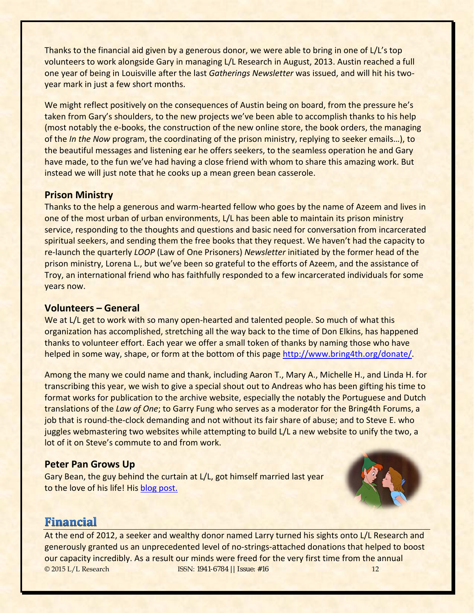Thanks to the financial aid given by a generous donor, we were able to bring in one of L/L's top volunteers to work alongside Gary in managing L/L Research in August, 2013. Austin reached a full one year of being in Louisville after the last *Gatherings Newsletter* was issued, and will hit his twoyear mark in just a few short months.

We might reflect positively on the consequences of Austin being on board, from the pressure he's taken from Gary's shoulders, to the new projects we've been able to accomplish thanks to his help (most notably the e-books, the construction of the new online store, the book orders, the managing of the *In the Now* program, the coordinating of the prison ministry, replying to seeker emails…), to the beautiful messages and listening ear he offers seekers, to the seamless operation he and Gary have made, to the fun we've had having a close friend with whom to share this amazing work. But instead we will just note that he cooks up a mean green bean casserole.

# **Prison Ministry**

Thanks to the help a generous and warm-hearted fellow who goes by the name of Azeem and lives in one of the most urban of urban environments, L/L has been able to maintain its prison ministry service, responding to the thoughts and questions and basic need for conversation from incarcerated spiritual seekers, and sending them the free books that they request. We haven't had the capacity to re-launch the quarterly *LOOP* (Law of One Prisoners) *Newsletter* initiated by the former head of the prison ministry, Lorena L., but we've been so grateful to the efforts of Azeem, and the assistance of Troy, an international friend who has faithfully responded to a few incarcerated individuals for some years now.

# **Volunteers – General**

We at L/L get to work with so many open-hearted and talented people. So much of what this organization has accomplished, stretching all the way back to the time of Don Elkins, has happened thanks to volunteer effort. Each year we offer a small token of thanks by naming those who have helped in some way, shape, or form at the bottom of this page [http://www.bring4th.org/donate/.](http://www.bring4th.org/donate/)

Among the many we could name and thank, including Aaron T., Mary A., Michelle H., and Linda H. for transcribing this year, we wish to give a special shout out to Andreas who has been gifting his time to format works for publication to the archive website, especially the notably the Portuguese and Dutch translations of the *Law of One*; to Garry Fung who serves as a moderator for the Bring4th Forums, a job that is round-the-clock demanding and not without its fair share of abuse; and to Steve E. who juggles webmastering two websites while attempting to build L/L a new website to unify the two, a lot of it on Steve's commute to and from work.

# **Peter Pan Grows Up**

Gary Bean, the guy behind the curtain at L/L, got himself married last year to the love of his life! His [blog post.](http://www.bring4th.org/archive.php?uid=45&catid=all&m=10&d=21&y=2014)



# <span id="page-11-0"></span>**Financial**

At the end of 2012, a seeker and wealthy donor named Larry turned his sights onto L/L Research and generously granted us an unprecedented level of no-strings-attached donations that helped to boost our capacity incredibly. As a result our minds were freed for the very first time from the annual © 2015 L/L Research ISSN: 1941-6784 || Issue: #16 12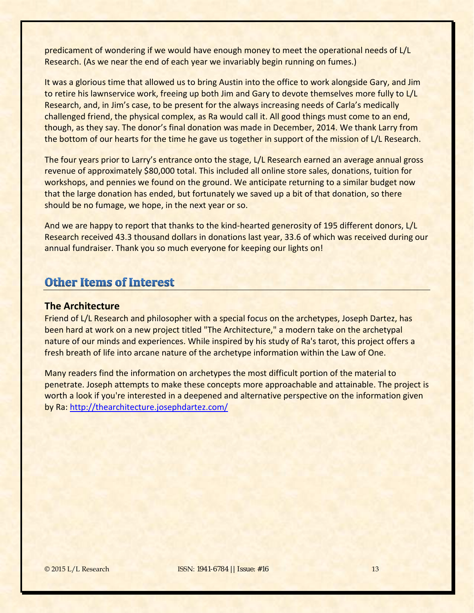predicament of wondering if we would have enough money to meet the operational needs of L/L Research. (As we near the end of each year we invariably begin running on fumes.)

It was a glorious time that allowed us to bring Austin into the office to work alongside Gary, and Jim to retire his lawnservice work, freeing up both Jim and Gary to devote themselves more fully to L/L Research, and, in Jim's case, to be present for the always increasing needs of Carla's medically challenged friend, the physical complex, as Ra would call it. All good things must come to an end, though, as they say. The donor's final donation was made in December, 2014. We thank Larry from the bottom of our hearts for the time he gave us together in support of the mission of L/L Research.

The four years prior to Larry's entrance onto the stage, L/L Research earned an average annual gross revenue of approximately \$80,000 total. This included all online store sales, donations, tuition for workshops, and pennies we found on the ground. We anticipate returning to a similar budget now that the large donation has ended, but fortunately we saved up a bit of that donation, so there should be no fumage, we hope, in the next year or so.

And we are happy to report that thanks to the kind-hearted generosity of 195 different donors, L/L Research received 43.3 thousand dollars in donations last year, 33.6 of which was received during our annual fundraiser. Thank you so much everyone for keeping our lights on!

# <span id="page-12-0"></span>**Other Items of Interest**

### **The Architecture**

Friend of L/L Research and philosopher with a special focus on the archetypes, Joseph Dartez, has been hard at work on a new project titled "The Architecture," a modern take on the archetypal nature of our minds and experiences. While inspired by his study of Ra's tarot, this project offers a fresh breath of life into arcane nature of the archetype information within the Law of One.

Many readers find the information on archetypes the most difficult portion of the material to penetrate. Joseph attempts to make these concepts more approachable and attainable. The project is worth a look if you're interested in a deepened and alternative perspective on the information given by Ra:<http://thearchitecture.josephdartez.com/>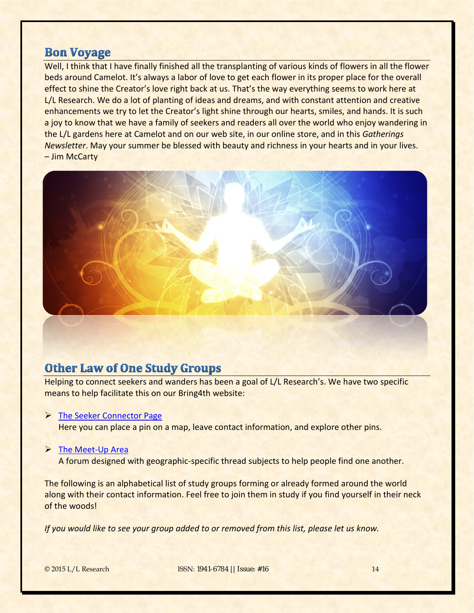# **Bon Voyage**

Well, I think that I have finally finished all the transplanting of various kinds of flowers in all the flower beds around Camelot. It's always a labor of love to get each flower in its proper place for the overall effect to shine the Creator's love right back at us. That's the way everything seems to work here at L/L Research. We do a lot of planting of ideas and dreams, and with constant attention and creative enhancements we try to let the Creator's light shine through our hearts, smiles, and hands. It is such a joy to know that we have a family of seekers and readers all over the world who enjoy wandering in the L/L gardens here at Camelot and on our web site, in our online store, and in this *Gatherings Newsletter*. May your summer be blessed with beauty and richness in your hearts and in your lives. – Jim McCarty



# <span id="page-13-0"></span>**Other Law of One Study Groups**

Helping to connect seekers and wanders has been a goal of L/L Research's. We have two specific means to help facilitate this on our Bring4th website:

### > [The Seeker Connector Page](http://www.bring4th.org/community/)

Here you can place a pin on a map, leave contact information, and explore other pins.

#### $\triangleright$  [The Meet-Up Area](http://www.bring4th.org/forums/forumdisplay.php?fid=6)

A forum designed with geographic-specific thread subjects to help people find one another.

The following is an alphabetical list of study groups forming or already formed around the world along with their contact information. Feel free to join them in study if you find yourself in their neck of the woods!

*If you would like to see your group added to or removed from this list, please let us know.*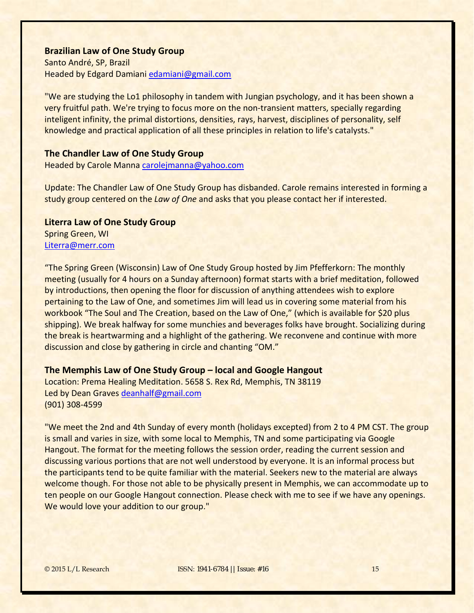#### **Brazilian Law of One Study Group**

Santo André, SP, Brazil Headed by Edgard Damiani [edamiani@gmail.com](mailto:edamiani@gmail.com)

"We are studying the Lo1 philosophy in tandem with Jungian psychology, and it has been shown a very fruitful path. We're trying to focus more on the non-transient matters, specially regarding inteligent infinity, the primal distortions, densities, rays, harvest, disciplines of personality, self knowledge and practical application of all these principles in relation to life's catalysts."

### **The Chandler Law of One Study Group**

Headed by Carole Manna [carolejmanna@yahoo.com](mailto:carolejmanna@yahoo.com)

Update: The Chandler Law of One Study Group has disbanded. Carole remains interested in forming a study group centered on the *Law of One* and asks that you please contact her if interested.

#### **Literra Law of One Study Group**

Spring Green, WI [Literra@merr.com](mailto:Literra@merr.com)

"The Spring Green (Wisconsin) Law of One Study Group hosted by Jim Pfefferkorn: The monthly meeting (usually for 4 hours on a Sunday afternoon) format starts with a brief meditation, followed by introductions, then opening the floor for discussion of anything attendees wish to explore pertaining to the Law of One, and sometimes Jim will lead us in covering some material from his workbook "The Soul and The Creation, based on the Law of One," (which is available for \$20 plus shipping). We break halfway for some munchies and beverages folks have brought. Socializing during the break is heartwarming and a highlight of the gathering. We reconvene and continue with more discussion and close by gathering in circle and chanting "OM."

#### **The Memphis Law of One Study Group – local and Google Hangout**

Location: Prema Healing Meditation. 5658 S. Rex Rd, Memphis, TN 38119 Led by Dean Graves [deanhalf@gmail.com](mailto:deanhalf@gmail.com) (901) 308-4599

"We meet the 2nd and 4th Sunday of every month (holidays excepted) from 2 to 4 PM CST. The group is small and varies in size, with some local to Memphis, TN and some participating via Google Hangout. The format for the meeting follows the session order, reading the current session and discussing various portions that are not well understood by everyone. It is an informal process but the participants tend to be quite familiar with the material. Seekers new to the material are always welcome though. For those not able to be physically present in Memphis, we can accommodate up to ten people on our Google Hangout connection. Please check with me to see if we have any openings. We would love your addition to our group."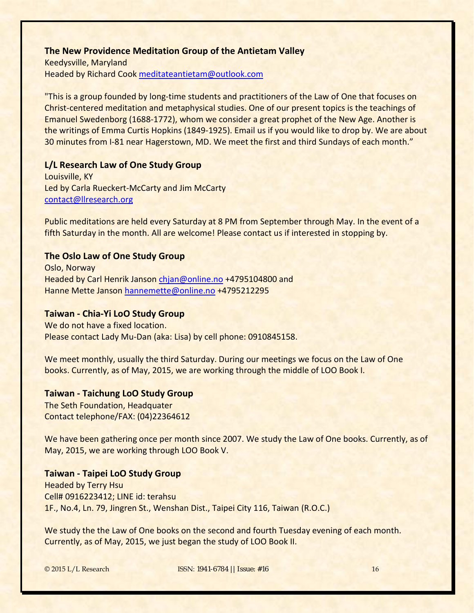## **The New Providence Meditation Group of the Antietam Valley**

Keedysville, Maryland Headed by Richard Cook [meditateantietam@outlook.com](mailto:meditateantietam@outlook.com)

"This is a group founded by long-time students and practitioners of the Law of One that focuses on Christ-centered meditation and metaphysical studies. One of our present topics is the teachings of Emanuel Swedenborg (1688-1772), whom we consider a great prophet of the New Age. Another is the writings of Emma Curtis Hopkins (1849-1925). Email us if you would like to drop by. We are about 30 minutes from I-81 near Hagerstown, MD. We meet the first and third Sundays of each month."

### **L/L Research Law of One Study Group**

Louisville, KY Led by Carla Rueckert-McCarty and Jim McCarty [contact@llresearch.org](mailto:contact@llresearch.org)

Public meditations are held every Saturday at 8 PM from September through May. In the event of a fifth Saturday in the month. All are welcome! Please contact us if interested in stopping by.

### **The Oslo Law of One Study Group**

Oslo, Norway Headed by Carl Henrik Janson [chjan@online.no](mailto:chjan@online.no) +4795104800 and Hanne Mette Janson [hannemette@online.no](mailto:hannemette@online.no) +4795212295

### **Taiwan - Chia-Yi LoO Study Group**

We do not have a fixed location. Please contact Lady Mu-Dan (aka: Lisa) by cell phone: 0910845158.

We meet monthly, usually the third Saturday. During our meetings we focus on the Law of One books. Currently, as of May, 2015, we are working through the middle of LOO Book I.

### **Taiwan - Taichung LoO Study Group**

The Seth Foundation, Headquater Contact telephone/FAX: (04)22364612

We have been gathering once per month since 2007. We study the Law of One books. Currently, as of May, 2015, we are working through LOO Book V.

### **Taiwan - Taipei LoO Study Group**

Headed by Terry Hsu Cell# 0916223412; LINE id: terahsu 1F., No.4, Ln. 79, Jingren St., Wenshan Dist., Taipei City 116, Taiwan (R.O.C.)

We study the the Law of One books on the second and fourth Tuesday evening of each month. Currently, as of May, 2015, we just began the study of LOO Book II.